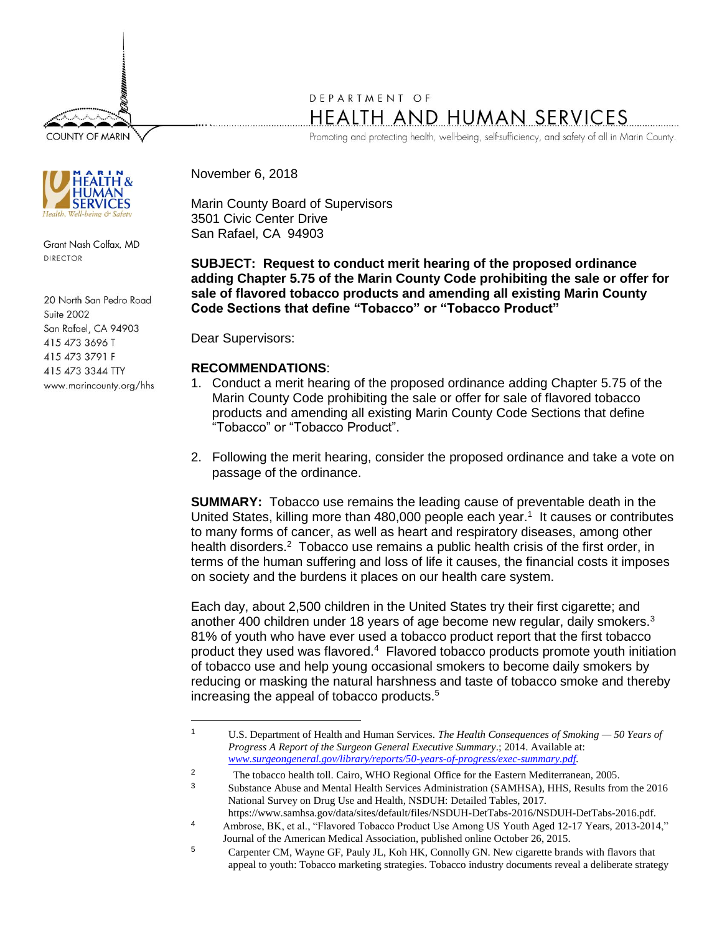**COUNTY OF MARIN** 



Grant Nash Colfax, MD DIRECTOR

20 North San Pedro Road Suite 2002 San Rafael, CA 94903 415 473 3696 T 415 473 3791 F 415 473 3344 TTY www.marincounty.org/hhs

## DEPARTMENT OF HEALTH AND HUMAN SERVICES

Promoting and protecting health, well-being, self-sufficiency, and safety of all in Marin County.

November 6, 2018

Marin County Board of Supervisors 3501 Civic Center Drive San Rafael, CA 94903

**SUBJECT: Request to conduct merit hearing of the proposed ordinance adding Chapter 5.75 of the Marin County Code prohibiting the sale or offer for sale of flavored tobacco products and amending all existing Marin County Code Sections that define "Tobacco" or "Tobacco Product"**

Dear Supervisors:

 $\overline{a}$ 

## **RECOMMENDATIONS**:

- 1. Conduct a merit hearing of the proposed ordinance adding Chapter 5.75 of the Marin County Code prohibiting the sale or offer for sale of flavored tobacco products and amending all existing Marin County Code Sections that define "Tobacco" or "Tobacco Product".
- 2. Following the merit hearing, consider the proposed ordinance and take a vote on passage of the ordinance.

**SUMMARY:** Tobacco use remains the leading cause of preventable death in the United States, killing more than 480,000 people each year.<sup>1</sup> It causes or contributes to many forms of cancer, as well as heart and respiratory diseases, among other health disorders.<sup>2</sup> Tobacco use remains a public health crisis of the first order, in terms of the human suffering and loss of life it causes, the financial costs it imposes on society and the burdens it places on our health care system.

Each day, about 2,500 children in the United States try their first cigarette; and another 400 children under 18 years of age become new regular, daily smokers.<sup>3</sup> 81% of youth who have ever used a tobacco product report that the first tobacco product they used was flavored.<sup>4</sup> Flavored tobacco products promote youth initiation of tobacco use and help young occasional smokers to become daily smokers by reducing or masking the natural harshness and taste of tobacco smoke and thereby increasing the appeal of tobacco products.<sup>5</sup>

<sup>1</sup> U.S. Department of Health and Human Services. *The Health Consequences of Smoking — 50 Years of Progress A Report of the Surgeon General Executive Summary*.; 2014. Available at: *[www.surgeongeneral.gov/library/reports/50-years-of-progress/exec-summary.pdf.](http://www.surgeongeneral.gov/library/reports/50-years-of-progress/exec-summary.pdf)*

<sup>&</sup>lt;sup>2</sup> The tobacco health toll. Cairo, WHO Regional Office for the Eastern Mediterranean, 2005.

<sup>3</sup> Substance Abuse and Mental Health Services Administration (SAMHSA), HHS, Results from the 2016 National Survey on Drug Use and Health, NSDUH: Detailed Tables, 2017.

https://www.samhsa.gov/data/sites/default/files/NSDUH-DetTabs-2016/NSDUH-DetTabs-2016.pdf. <sup>4</sup> Ambrose, BK, et al., "Flavored Tobacco Product Use Among US Youth Aged 12-17 Years, 2013-2014,"

Journal of the American Medical Association, published online October 26, 2015.

<sup>5</sup> Carpenter CM, Wayne GF, Pauly JL, Koh HK, Connolly GN. New cigarette brands with flavors that appeal to youth: Tobacco marketing strategies. Tobacco industry documents reveal a deliberate strategy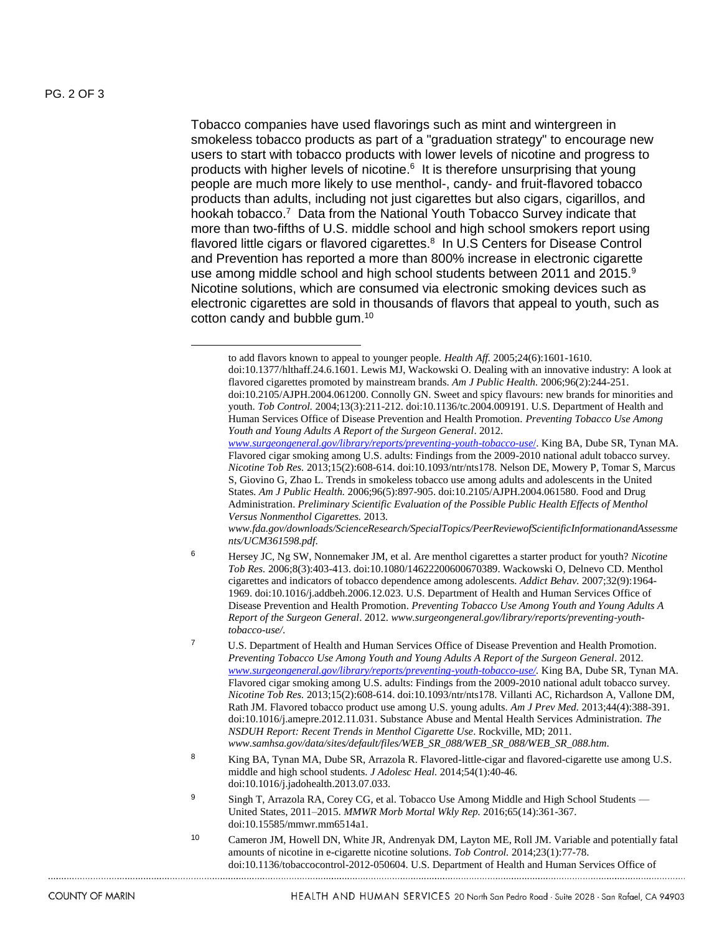$\overline{a}$ 

Tobacco companies have used flavorings such as mint and wintergreen in smokeless tobacco products as part of a "graduation strategy" to encourage new users to start with tobacco products with lower levels of nicotine and progress to products with higher levels of nicotine.<sup>6</sup> It is therefore unsurprising that young people are much more likely to use menthol-, candy- and fruit-flavored tobacco products than adults, including not just cigarettes but also cigars, cigarillos, and hookah tobacco.<sup>7</sup> Data from the National Youth Tobacco Survey indicate that more than two-fifths of U.S. middle school and high school smokers report using flavored little cigars or flavored cigarettes.<sup>8</sup> In U.S Centers for Disease Control and Prevention has reported a more than 800% increase in electronic cigarette use among middle school and high school students between 2011 and 2015.<sup>9</sup> Nicotine solutions, which are consumed via electronic smoking devices such as electronic cigarettes are sold in thousands of flavors that appeal to youth, such as cotton candy and bubble gum.<sup>10</sup>

- <sup>6</sup> Hersey JC, Ng SW, Nonnemaker JM, et al. Are menthol cigarettes a starter product for youth? *Nicotine Tob Res.* 2006;8(3):403-413. doi:10.1080/14622200600670389. Wackowski O, Delnevo CD. Menthol cigarettes and indicators of tobacco dependence among adolescents. *Addict Behav.* 2007;32(9):1964- 1969. doi:10.1016/j.addbeh.2006.12.023. U.S. Department of Health and Human Services Office of Disease Prevention and Health Promotion. *Preventing Tobacco Use Among Youth and Young Adults A Report of the Surgeon General*. 2012. *www.surgeongeneral.gov/library/reports/preventing-youthtobacco-use/*.
- 7 U.S. Department of Health and Human Services Office of Disease Prevention and Health Promotion. *Preventing Tobacco Use Among Youth and Young Adults A Report of the Surgeon General*. 2012. *[www.surgeongeneral.gov/library/reports/preventing-youth-tobacco-use/.](http://www.surgeongeneral.gov/library/reports/preventing-youth-tobacco-use/)* King BA, Dube SR, Tynan MA. Flavored cigar smoking among U.S. adults: Findings from the 2009-2010 national adult tobacco survey. *Nicotine Tob Res.* 2013;15(2):608-614. doi:10.1093/ntr/nts178. Villanti AC, Richardson A, Vallone DM, Rath JM. Flavored tobacco product use among U.S. young adults. *Am J Prev Med.* 2013;44(4):388-391. doi:10.1016/j.amepre.2012.11.031. Substance Abuse and Mental Health Services Administration. *The NSDUH Report: Recent Trends in Menthol Cigarette Use*. Rockville, MD; 2011. *www.samhsa.gov/data/sites/default/files/WEB\_SR\_088/WEB\_SR\_088/WEB\_SR\_088.htm*.
- <sup>8</sup> King BA, Tynan MA, Dube SR, Arrazola R. Flavored-little-cigar and flavored-cigarette use among U.S. middle and high school students. *J Adolesc Heal.* 2014;54(1):40-46. doi:10.1016/j.jadohealth.2013.07.033.
- 9 Singh T, Arrazola RA, Corey CG, et al. Tobacco Use Among Middle and High School Students United States, 2011–2015. *MMWR Morb Mortal Wkly Rep.* 2016;65(14):361-367. doi:10.15585/mmwr.mm6514a1.
- <sup>10</sup> Cameron JM, Howell DN, White JR, Andrenyak DM, Layton ME, Roll JM. Variable and potentially fatal amounts of nicotine in e-cigarette nicotine solutions. *Tob Control.* 2014;23(1):77-78. doi:10.1136/tobaccocontrol-2012-050604. U.S. Department of Health and Human Services Office of

to add flavors known to appeal to younger people. *Health Aff.* 2005;24(6):1601-1610. doi:10.1377/hlthaff.24.6.1601. Lewis MJ, Wackowski O. Dealing with an innovative industry: A look at flavored cigarettes promoted by mainstream brands. *Am J Public Health.* 2006;96(2):244-251. doi:10.2105/AJPH.2004.061200. Connolly GN. Sweet and spicy flavours: new brands for minorities and youth. *Tob Control.* 2004;13(3):211-212. doi:10.1136/tc.2004.009191. U.S. Department of Health and Human Services Office of Disease Prevention and Health Promotion. *Preventing Tobacco Use Among Youth and Young Adults A Report of the Surgeon General*. 2012.

*[www.surgeongeneral.gov/library/reports/preventing-youth-tobacco-use](http://www.surgeongeneral.gov/library/reports/preventing-youth-tobacco-use/)*/. King BA, Dube SR, Tynan MA. Flavored cigar smoking among U.S. adults: Findings from the 2009-2010 national adult tobacco survey. *Nicotine Tob Res.* 2013;15(2):608-614. doi:10.1093/ntr/nts178. Nelson DE, Mowery P, Tomar S, Marcus S, Giovino G, Zhao L. Trends in smokeless tobacco use among adults and adolescents in the United States*. Am J Public Health.* 2006;96(5):897-905. doi:10.2105/AJPH.2004.061580. Food and Drug Administration. *Preliminary Scientific Evaluation of the Possible Public Health Effects of Menthol Versus Nonmenthol Cigarettes.* 2013.

*www.fda.gov/downloads/ScienceResearch/SpecialTopics/PeerReviewofScientificInformationandAssessme nts/UCM361598.pdf*.